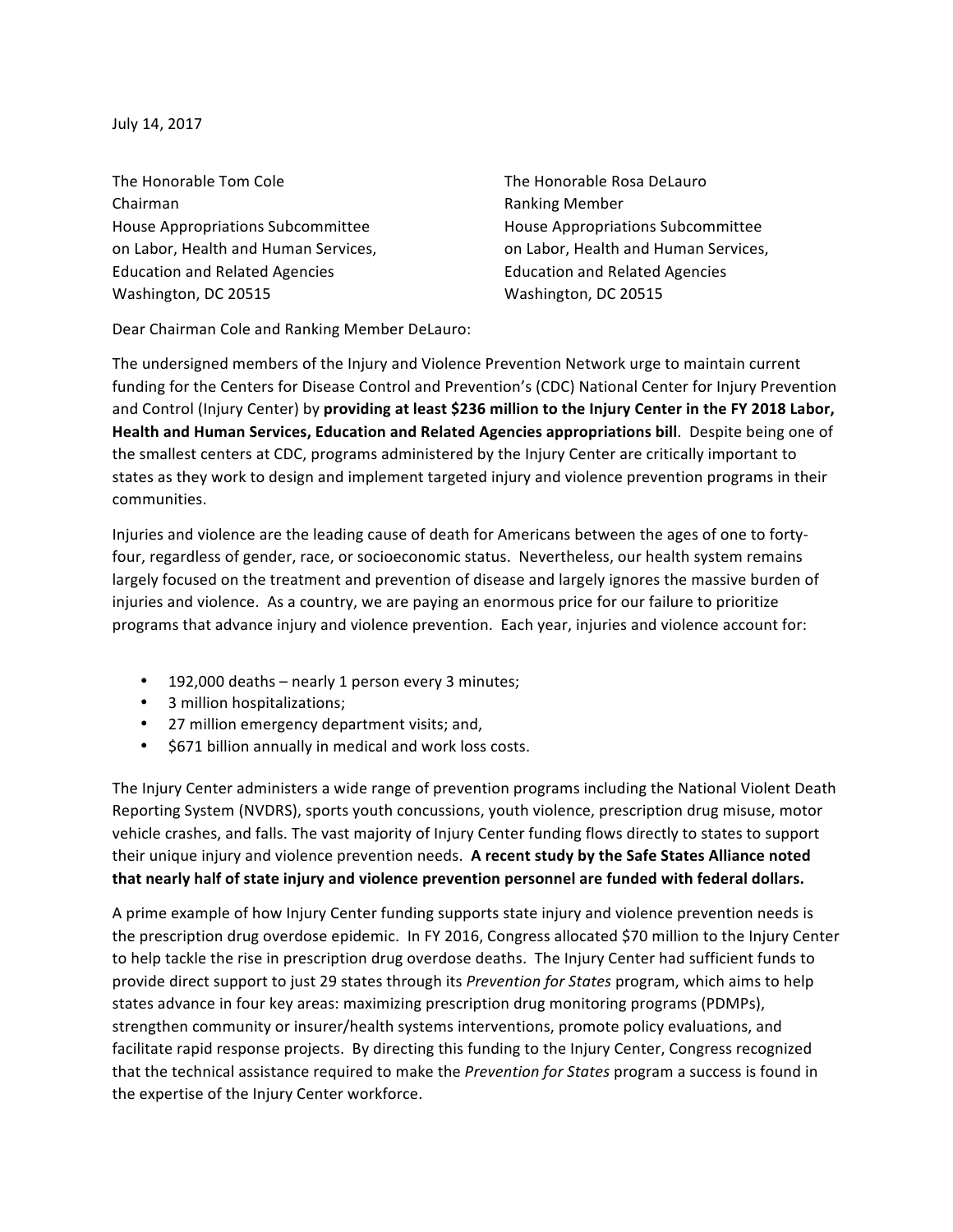July 14, 2017

The Honorable Tom Cole The The Honorable Rosa DeLauro Chairman **Chairman** Ranking Member House Appropriations Subcommittee **House Appropriations** Subcommittee Education and Related Agencies **Education** and Related Agencies Washington, DC 20515 Washington, DC 20515

on Labor, Health and Human Services, on Labor, Health and Human Services,

Dear Chairman Cole and Ranking Member DeLauro:

The undersigned members of the Injury and Violence Prevention Network urge to maintain current funding for the Centers for Disease Control and Prevention's (CDC) National Center for Injury Prevention and Control (Injury Center) by providing at least \$236 million to the Injury Center in the FY 2018 Labor, Health and Human Services, Education and Related Agencies appropriations bill. Despite being one of the smallest centers at CDC, programs administered by the Injury Center are critically important to states as they work to design and implement targeted injury and violence prevention programs in their communities.

Injuries and violence are the leading cause of death for Americans between the ages of one to fortyfour, regardless of gender, race, or socioeconomic status. Nevertheless, our health system remains largely focused on the treatment and prevention of disease and largely ignores the massive burden of injuries and violence. As a country, we are paying an enormous price for our failure to prioritize programs that advance injury and violence prevention. Each year, injuries and violence account for:

- 192,000 deaths nearly 1 person every 3 minutes;
- 3 million hospitalizations;
- 27 million emergency department visits; and,
- \$671 billion annually in medical and work loss costs.

The Injury Center administers a wide range of prevention programs including the National Violent Death Reporting System (NVDRS), sports youth concussions, youth violence, prescription drug misuse, motor vehicle crashes, and falls. The vast majority of Injury Center funding flows directly to states to support their unique injury and violence prevention needs. A recent study by the Safe States Alliance noted that nearly half of state injury and violence prevention personnel are funded with federal dollars.

A prime example of how Injury Center funding supports state injury and violence prevention needs is the prescription drug overdose epidemic. In FY 2016, Congress allocated \$70 million to the Injury Center to help tackle the rise in prescription drug overdose deaths. The Injury Center had sufficient funds to provide direct support to just 29 states through its *Prevention for States* program, which aims to help states advance in four key areas: maximizing prescription drug monitoring programs (PDMPs), strengthen community or insurer/health systems interventions, promote policy evaluations, and facilitate rapid response projects. By directing this funding to the Injury Center, Congress recognized that the technical assistance required to make the *Prevention for States* program a success is found in the expertise of the Injury Center workforce.